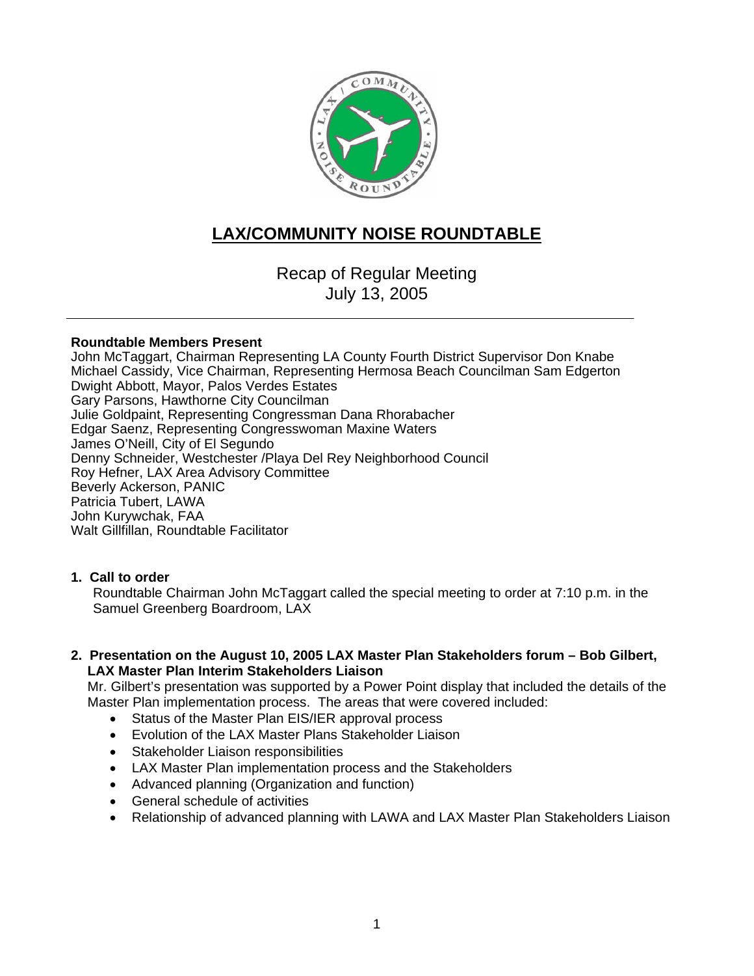

# **LAX/COMMUNITY NOISE ROUNDTABLE**

Recap of Regular Meeting July 13, 2005

#### **Roundtable Members Present**

John McTaggart, Chairman Representing LA County Fourth District Supervisor Don Knabe Michael Cassidy, Vice Chairman, Representing Hermosa Beach Councilman Sam Edgerton Dwight Abbott, Mayor, Palos Verdes Estates Gary Parsons, Hawthorne City Councilman Julie Goldpaint, Representing Congressman Dana Rhorabacher Edgar Saenz, Representing Congresswoman Maxine Waters James O'Neill, City of El Segundo Denny Schneider, Westchester /Playa Del Rey Neighborhood Council Roy Hefner, LAX Area Advisory Committee Beverly Ackerson, PANIC Patricia Tubert, LAWA John Kurywchak, FAA Walt Gillfillan, Roundtable Facilitator

#### **1. Call to order**

Roundtable Chairman John McTaggart called the special meeting to order at 7:10 p.m. in the Samuel Greenberg Boardroom, LAX

**2. Presentation on the August 10, 2005 LAX Master Plan Stakeholders forum – Bob Gilbert, LAX Master Plan Interim Stakeholders Liaison** 

Mr. Gilbert's presentation was supported by a Power Point display that included the details of the Master Plan implementation process. The areas that were covered included:

- Status of the Master Plan EIS/IER approval process
- Evolution of the LAX Master Plans Stakeholder Liaison
- Stakeholder Liaison responsibilities
- LAX Master Plan implementation process and the Stakeholders
- Advanced planning (Organization and function)
- General schedule of activities
- Relationship of advanced planning with LAWA and LAX Master Plan Stakeholders Liaison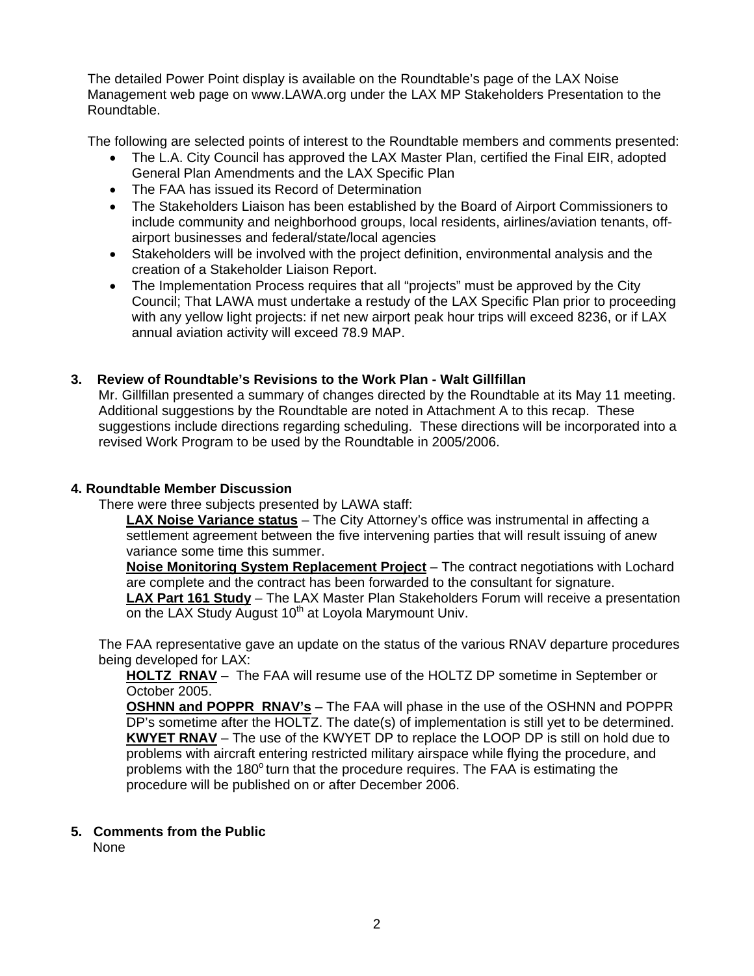The detailed Power Point display is available on the Roundtable's page of the LAX Noise Management web page on www.LAWA.org under the LAX MP Stakeholders Presentation to the Roundtable.

The following are selected points of interest to the Roundtable members and comments presented:

- The L.A. City Council has approved the LAX Master Plan, certified the Final EIR, adopted General Plan Amendments and the LAX Specific Plan
- The FAA has issued its Record of Determination
- The Stakeholders Liaison has been established by the Board of Airport Commissioners to include community and neighborhood groups, local residents, airlines/aviation tenants, offairport businesses and federal/state/local agencies
- Stakeholders will be involved with the project definition, environmental analysis and the creation of a Stakeholder Liaison Report.
- The Implementation Process requires that all "projects" must be approved by the City Council; That LAWA must undertake a restudy of the LAX Specific Plan prior to proceeding with any yellow light projects: if net new airport peak hour trips will exceed 8236, or if LAX annual aviation activity will exceed 78.9 MAP.

## **3. Review of Roundtable's Revisions to the Work Plan - Walt Gillfillan**

Mr. Gillfillan presented a summary of changes directed by the Roundtable at its May 11 meeting. Additional suggestions by the Roundtable are noted in Attachment A to this recap. These suggestions include directions regarding scheduling. These directions will be incorporated into a revised Work Program to be used by the Roundtable in 2005/2006.

#### **4. Roundtable Member Discussion**

There were three subjects presented by LAWA staff:

**LAX Noise Variance status** – The City Attorney's office was instrumental in affecting a settlement agreement between the five intervening parties that will result issuing of anew variance some time this summer.

**Noise Monitoring System Replacement Project** – The contract negotiations with Lochard are complete and the contract has been forwarded to the consultant for signature.

**LAX Part 161 Study** – The LAX Master Plan Stakeholders Forum will receive a presentation on the LAX Study August 10<sup>th</sup> at Loyola Marymount Univ.

The FAA representative gave an update on the status of the various RNAV departure procedures being developed for LAX:

**HOLTZ RNAV** –The FAA will resume use of the HOLTZ DP sometime in September or October 2005.

**OSHNN and POPPR RNAV's** – The FAA will phase in the use of the OSHNN and POPPR DP's sometime after the HOLTZ. The date(s) of implementation is still yet to be determined. **KWYET RNAV** – The use of the KWYET DP to replace the LOOP DP is still on hold due to problems with aircraft entering restricted military airspace while flying the procedure, and problems with the  $180^\circ$  turn that the procedure requires. The FAA is estimating the procedure will be published on or after December 2006.

#### **5. Comments from the Public**

None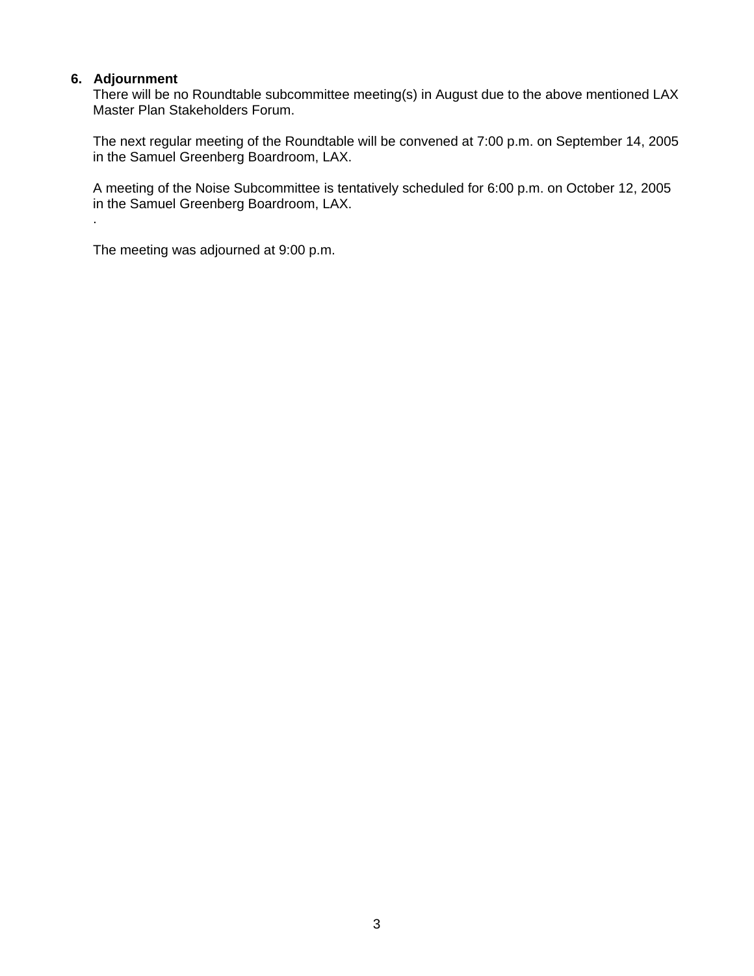### **6. Adjournment**

.

There will be no Roundtable subcommittee meeting(s) in August due to the above mentioned LAX Master Plan Stakeholders Forum.

The next regular meeting of the Roundtable will be convened at 7:00 p.m. on September 14, 2005 in the Samuel Greenberg Boardroom, LAX.

A meeting of the Noise Subcommittee is tentatively scheduled for 6:00 p.m. on October 12, 2005 in the Samuel Greenberg Boardroom, LAX.

The meeting was adjourned at 9:00 p.m.